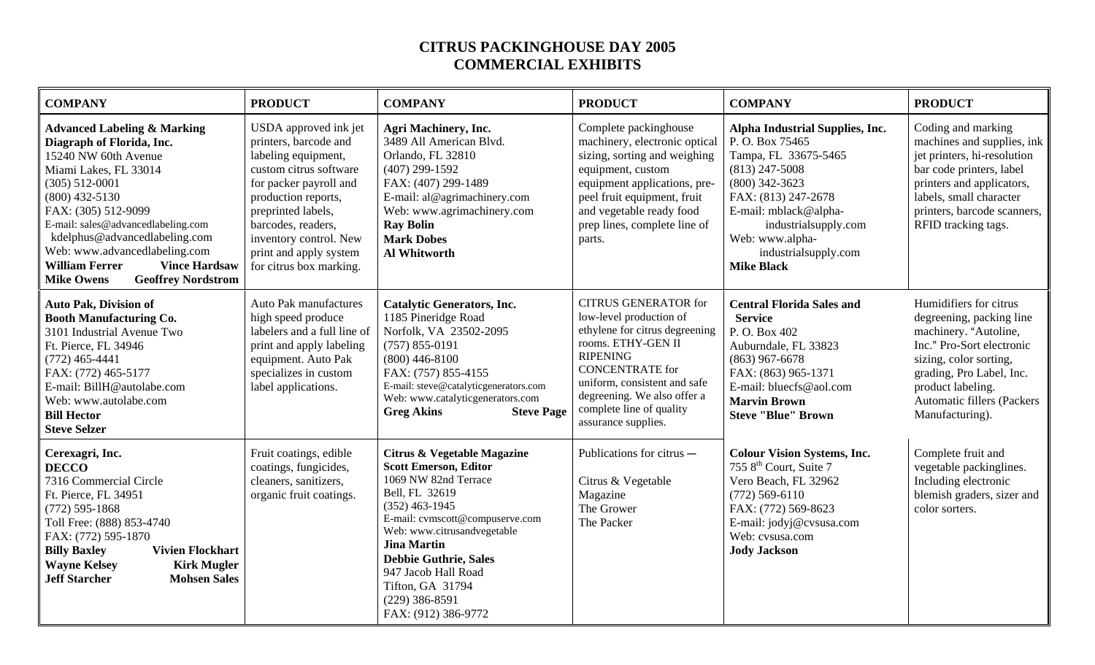## **CITRUS PACKINGHOUSE DAY 2005 COMMERCIAL EXHIBITS**

| <b>COMPANY</b>                                                                                                                                                                                                                                                                                                                                                                                 | <b>PRODUCT</b>                                                                                                                                                                                                                                                              | <b>COMPANY</b>                                                                                                                                                                                                                                                                                                                          | <b>PRODUCT</b>                                                                                                                                                                                                                                                                | <b>COMPANY</b>                                                                                                                                                                                                                                            | <b>PRODUCT</b>                                                                                                                                                                                                                               |
|------------------------------------------------------------------------------------------------------------------------------------------------------------------------------------------------------------------------------------------------------------------------------------------------------------------------------------------------------------------------------------------------|-----------------------------------------------------------------------------------------------------------------------------------------------------------------------------------------------------------------------------------------------------------------------------|-----------------------------------------------------------------------------------------------------------------------------------------------------------------------------------------------------------------------------------------------------------------------------------------------------------------------------------------|-------------------------------------------------------------------------------------------------------------------------------------------------------------------------------------------------------------------------------------------------------------------------------|-----------------------------------------------------------------------------------------------------------------------------------------------------------------------------------------------------------------------------------------------------------|----------------------------------------------------------------------------------------------------------------------------------------------------------------------------------------------------------------------------------------------|
| <b>Advanced Labeling &amp; Marking</b><br>Diagraph of Florida, Inc.<br>15240 NW 60th Avenue<br>Miami Lakes, FL 33014<br>$(305)$ 512-0001<br>$(800)$ 432-5130<br>FAX: (305) 512-9099<br>E-mail: sales@advancedlabeling.com<br>kdelphus@advancedlabeling.com<br>Web: www.advancedlabeling.com<br><b>William Ferrer</b><br><b>Vince Hardsaw</b><br><b>Geoffrey Nordstrom</b><br><b>Mike Owens</b> | USDA approved ink jet<br>printers, barcode and<br>labeling equipment,<br>custom citrus software<br>for packer payroll and<br>production reports,<br>preprinted labels,<br>barcodes, readers,<br>inventory control. New<br>print and apply system<br>for citrus box marking. | <b>Agri Machinery, Inc.</b><br>3489 All American Blvd.<br>Orlando, FL 32810<br>$(407)$ 299-1592<br>FAX: (407) 299-1489<br>E-mail: al@agrimachinery.com<br>Web: www.agrimachinery.com<br><b>Ray Bolin</b><br><b>Mark Dobes</b><br><b>Al Whitworth</b>                                                                                    | Complete packinghouse<br>machinery, electronic optical<br>sizing, sorting and weighing<br>equipment, custom<br>equipment applications, pre-<br>peel fruit equipment, fruit<br>and vegetable ready food<br>prep lines, complete line of<br>parts.                              | Alpha Industrial Supplies, Inc.<br>P.O. Box 75465<br>Tampa, FL 33675-5465<br>$(813)$ 247-5008<br>$(800)$ 342-3623<br>FAX: (813) 247-2678<br>E-mail: mblack@alpha-<br>industrialsupply.com<br>Web: www.alpha-<br>industrialsupply.com<br><b>Mike Black</b> | Coding and marking<br>machines and supplies, ink<br>jet printers, hi-resolution<br>bar code printers, label<br>printers and applicators,<br>labels, small character<br>printers, barcode scanners,<br>RFID tracking tags.                    |
| <b>Auto Pak, Division of</b><br><b>Booth Manufacturing Co.</b><br>3101 Industrial Avenue Two<br>Ft. Pierce, FL 34946<br>$(772)$ 465-4441<br>FAX: (772) 465-5177<br>E-mail: BillH@autolabe.com<br>Web: www.autolabe.com<br><b>Bill Hector</b><br><b>Steve Selzer</b>                                                                                                                            | <b>Auto Pak manufactures</b><br>high speed produce<br>labelers and a full line of<br>print and apply labeling<br>equipment. Auto Pak<br>specializes in custom<br>label applications.                                                                                        | <b>Catalytic Generators, Inc.</b><br>1185 Pineridge Road<br>Norfolk, VA 23502-2095<br>$(757) 855 - 0191$<br>$(800)$ 446-8100<br>FAX: (757) 855-4155<br>E-mail: steve@catalyticgenerators.com<br>Web: www.catalyticgenerators.com<br><b>Greg Akins</b><br><b>Steve Page</b>                                                              | <b>CITRUS GENERATOR for</b><br>low-level production of<br>ethylene for citrus degreening<br>rooms. ETHY-GEN II<br><b>RIPENING</b><br><b>CONCENTRATE</b> for<br>uniform, consistent and safe<br>degreening. We also offer a<br>complete line of quality<br>assurance supplies. | <b>Central Florida Sales and</b><br><b>Service</b><br>P.O. Box 402<br>Auburndale, FL 33823<br>$(863)$ 967-6678<br>FAX: (863) 965-1371<br>E-mail: bluecfs@aol.com<br><b>Marvin Brown</b><br><b>Steve "Blue" Brown</b>                                      | Humidifiers for citrus<br>degreening, packing line<br>machinery. "Autoline,<br>Inc." Pro-Sort electronic<br>sizing, color sorting,<br>grading, Pro Label, Inc.<br>product labeling.<br><b>Automatic fillers (Packers)</b><br>Manufacturing). |
| Cerexagri, Inc.<br><b>DECCO</b><br>7316 Commercial Circle<br>Ft. Pierce, FL 34951<br>$(772)$ 595-1868<br>Toll Free: (888) 853-4740<br>FAX: (772) 595-1870<br><b>Vivien Flockhart</b><br><b>Billy Baxley</b><br><b>Wayne Kelsey</b><br><b>Kirk Mugler</b><br><b>Jeff Starcher</b><br><b>Mohsen Sales</b>                                                                                        | Fruit coatings, edible<br>coatings, fungicides,<br>cleaners, sanitizers,<br>organic fruit coatings.                                                                                                                                                                         | Citrus & Vegetable Magazine<br><b>Scott Emerson, Editor</b><br>1069 NW 82nd Terrace<br>Bell, FL 32619<br>$(352)$ 463-1945<br>E-mail: cvmscott@compuserve.com<br>Web: www.citrusandvegetable<br><b>Jina Martin</b><br><b>Debbie Guthrie, Sales</b><br>947 Jacob Hall Road<br>Tifton, GA 31794<br>$(229)$ 386-8591<br>FAX: (912) 386-9772 | Publications for citrus –<br>Citrus & Vegetable<br>Magazine<br>The Grower<br>The Packer                                                                                                                                                                                       | <b>Colour Vision Systems, Inc.</b><br>755 8 <sup>th</sup> Court, Suite 7<br>Vero Beach, FL 32962<br>$(772)$ 569-6110<br>FAX: (772) 569-8623<br>E-mail: jodyj@cvsusa.com<br>Web: cvsusa.com<br><b>Jody Jackson</b>                                         | Complete fruit and<br>vegetable packinglines.<br>Including electronic<br>blemish graders, sizer and<br>color sorters.                                                                                                                        |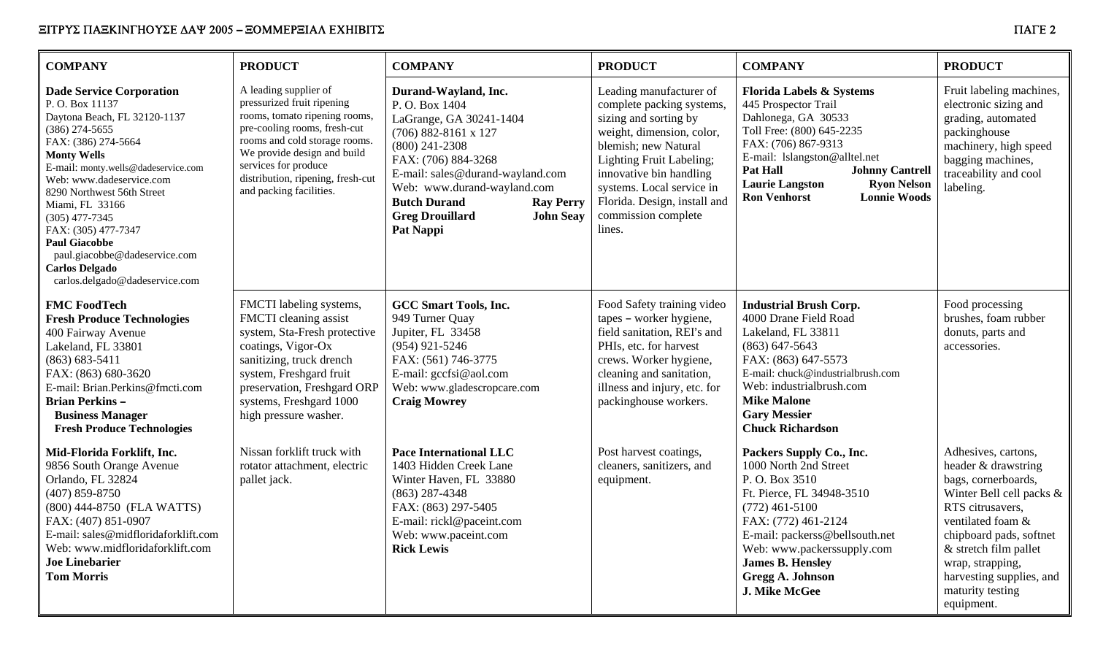| <b>COMPANY</b>                                                                                                                                                                                                                                                                                                                                                                                                                        | <b>PRODUCT</b>                                                                                                                                                                                                                                                               | <b>COMPANY</b>                                                                                                                                                                                                                                                                                                   | <b>PRODUCT</b>                                                                                                                                                                                                                                                                          | <b>COMPANY</b>                                                                                                                                                                                                                                                                                                     | <b>PRODUCT</b>                                                                                                                                                                                                                                                               |
|---------------------------------------------------------------------------------------------------------------------------------------------------------------------------------------------------------------------------------------------------------------------------------------------------------------------------------------------------------------------------------------------------------------------------------------|------------------------------------------------------------------------------------------------------------------------------------------------------------------------------------------------------------------------------------------------------------------------------|------------------------------------------------------------------------------------------------------------------------------------------------------------------------------------------------------------------------------------------------------------------------------------------------------------------|-----------------------------------------------------------------------------------------------------------------------------------------------------------------------------------------------------------------------------------------------------------------------------------------|--------------------------------------------------------------------------------------------------------------------------------------------------------------------------------------------------------------------------------------------------------------------------------------------------------------------|------------------------------------------------------------------------------------------------------------------------------------------------------------------------------------------------------------------------------------------------------------------------------|
| <b>Dade Service Corporation</b><br>P.O. Box 11137<br>Daytona Beach, FL 32120-1137<br>$(386)$ 274-5655<br>FAX: (386) 274-5664<br><b>Monty Wells</b><br>E-mail: monty.wells@dadeservice.com<br>Web: www.dadeservice.com<br>8290 Northwest 56th Street<br>Miami, FL 33166<br>$(305)$ 477-7345<br>FAX: (305) 477-7347<br><b>Paul Giacobbe</b><br>paul.giacobbe@dadeservice.com<br><b>Carlos Delgado</b><br>carlos.delgado@dadeservice.com | A leading supplier of<br>pressurized fruit ripening<br>rooms, tomato ripening rooms,<br>pre-cooling rooms, fresh-cut<br>rooms and cold storage rooms.<br>We provide design and build<br>services for produce<br>distribution, ripening, fresh-cut<br>and packing facilities. | Durand-Wayland, Inc.<br>P.O. Box 1404<br>LaGrange, GA 30241-1404<br>$(706) 882 - 8161 x 127$<br>$(800)$ 241-2308<br>FAX: (706) 884-3268<br>E-mail: sales@durand-wayland.com<br>Web: www.durand-wayland.com<br><b>Butch Durand</b><br><b>Ray Perry</b><br><b>Greg Drouillard</b><br><b>John Seay</b><br>Pat Nappi | Leading manufacturer of<br>complete packing systems,<br>sizing and sorting by<br>weight, dimension, color,<br>blemish; new Natural<br>Lighting Fruit Labeling;<br>innovative bin handling<br>systems. Local service in<br>Florida. Design, install and<br>commission complete<br>lines. | <b>Florida Labels &amp; Systems</b><br>445 Prospector Trail<br>Dahlonega, GA 30533<br>Toll Free: (800) 645-2235<br>FAX: (706) 867-9313<br>E-mail: lslangston@alltel.net<br><b>Pat Hall</b><br><b>Johnny Cantrell</b><br><b>Laurie Langston</b><br><b>Ryon Nelson</b><br><b>Ron Venhorst</b><br><b>Lonnie Woods</b> | Fruit labeling machines,<br>electronic sizing and<br>grading, automated<br>packinghouse<br>machinery, high speed<br>bagging machines,<br>traceability and cool<br>labeling.                                                                                                  |
| <b>FMC FoodTech</b><br><b>Fresh Produce Technologies</b><br>400 Fairway Avenue<br>Lakeland, FL 33801<br>$(863) 683 - 5411$<br>FAX: (863) 680-3620<br>E-mail: Brian.Perkins@fmcti.com<br><b>Brian Perkins -</b><br><b>Business Manager</b><br><b>Fresh Produce Technologies</b>                                                                                                                                                        | FMCTI labeling systems,<br>FMCTI cleaning assist<br>system, Sta-Fresh protective<br>coatings, Vigor-Ox<br>sanitizing, truck drench<br>system, Freshgard fruit<br>preservation, Freshgard ORP<br>systems, Freshgard 1000<br>high pressure washer.                             | <b>GCC Smart Tools, Inc.</b><br>949 Turner Quay<br>Jupiter, FL 33458<br>$(954)$ 921-5246<br>FAX: (561) 746-3775<br>E-mail: gccfsi@aol.com<br>Web: www.gladescropcare.com<br><b>Craig Mowrey</b>                                                                                                                  | Food Safety training video<br>tapes - worker hygiene,<br>field sanitation, REI's and<br>PHIs, etc. for harvest<br>crews. Worker hygiene,<br>cleaning and sanitation,<br>illness and injury, etc. for<br>packinghouse workers.                                                           | <b>Industrial Brush Corp.</b><br>4000 Drane Field Road<br>Lakeland, FL 33811<br>$(863)$ 647-5643<br>FAX: (863) 647-5573<br>E-mail: chuck@industrialbrush.com<br>Web: industrialbrush.com<br><b>Mike Malone</b><br><b>Gary Messier</b><br><b>Chuck Richardson</b>                                                   | Food processing<br>brushes, foam rubber<br>donuts, parts and<br>accessories.                                                                                                                                                                                                 |
| Mid-Florida Forklift, Inc.<br>9856 South Orange Avenue<br>Orlando, FL 32824<br>$(407) 859 - 8750$<br>(800) 444-8750 (FLA WATTS)<br>FAX: (407) 851-0907<br>E-mail: sales@midfloridaforklift.com<br>Web: www.midfloridaforklift.com<br><b>Joe Linebarier</b><br><b>Tom Morris</b>                                                                                                                                                       | Nissan forklift truck with<br>rotator attachment, electric<br>pallet jack.                                                                                                                                                                                                   | <b>Pace International LLC</b><br>1403 Hidden Creek Lane<br>Winter Haven, FL 33880<br>$(863)$ 287-4348<br>FAX: (863) 297-5405<br>E-mail: rickl@paceint.com<br>Web: www.paceint.com<br><b>Rick Lewis</b>                                                                                                           | Post harvest coatings,<br>cleaners, sanitizers, and<br>equipment.                                                                                                                                                                                                                       | Packers Supply Co., Inc.<br>1000 North 2nd Street<br>P. O. Box 3510<br>Ft. Pierce, FL 34948-3510<br>$(772)$ 461-5100<br>FAX: (772) 461-2124<br>E-mail: packerss@bellsouth.net<br>Web: www.packerssupply.com<br><b>James B. Hensley</b><br><b>Gregg A. Johnson</b><br>J. Mike McGee                                 | Adhesives, cartons,<br>header & drawstring<br>bags, cornerboards,<br>Winter Bell cell packs &<br>RTS citrusavers,<br>ventilated foam &<br>chipboard pads, softnet<br>& stretch film pallet<br>wrap, strapping,<br>harvesting supplies, and<br>maturity testing<br>equipment. |